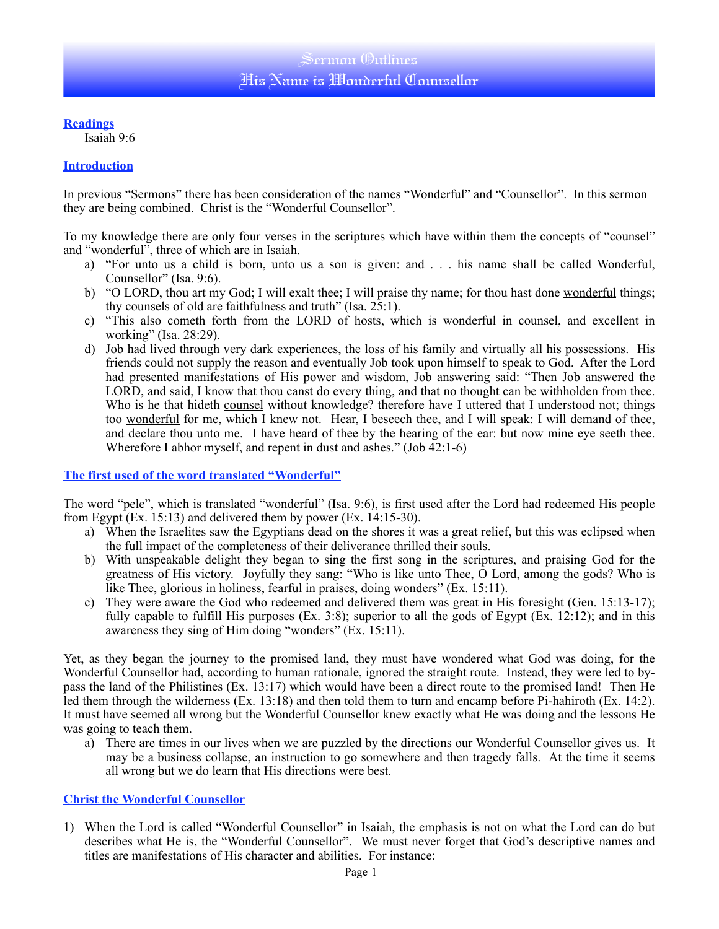### **Readings**

Isaiah 9:6

### **Introduction**

In previous "Sermons" there has been consideration of the names "Wonderful" and "Counsellor". In this sermon they are being combined. Christ is the "Wonderful Counsellor".

To my knowledge there are only four verses in the scriptures which have within them the concepts of "counsel" and "wonderful", three of which are in Isaiah.

- a) "For unto us a child is born, unto us a son is given: and . . . his name shall be called Wonderful, Counsellor" (Isa. 9:6).
- b) "O LORD, thou art my God; I will exalt thee; I will praise thy name; for thou hast done wonderful things; thy counsels of old are faithfulness and truth" (Isa.  $2\overline{5}$ :1).
- c) "This also cometh forth from the LORD of hosts, which is wonderful in counsel, and excellent in working" (Isa. 28:29).
- d) Job had lived through very dark experiences, the loss of his family and virtually all his possessions. His friends could not supply the reason and eventually Job took upon himself to speak to God. After the Lord had presented manifestations of His power and wisdom, Job answering said: "Then Job answered the LORD, and said, I know that thou canst do every thing, and that no thought can be withholden from thee. Who is he that hideth counsel without knowledge? therefore have I uttered that I understood not; things too wonderful for me, which I knew not. Hear, I beseech thee, and I will speak: I will demand of thee, and declare thou unto me. I have heard of thee by the hearing of the ear: but now mine eve seeth thee. Wherefore I abhor myself, and repent in dust and ashes." (Job 42:1-6)

### **The first used of the word translated "Wonderful"**

The word "pele", which is translated "wonderful" (Isa. 9:6), is first used after the Lord had redeemed His people from Egypt (Ex. 15:13) and delivered them by power (Ex. 14:15-30).

- a) When the Israelites saw the Egyptians dead on the shores it was a great relief, but this was eclipsed when the full impact of the completeness of their deliverance thrilled their souls.
- b) With unspeakable delight they began to sing the first song in the scriptures, and praising God for the greatness of His victory. Joyfully they sang: "Who is like unto Thee, O Lord, among the gods? Who is like Thee, glorious in holiness, fearful in praises, doing wonders" (Ex. 15:11).
- c) They were aware the God who redeemed and delivered them was great in His foresight (Gen. 15:13-17); fully capable to fulfill His purposes  $(Ex. 3.8)$ ; superior to all the gods of Egypt  $(Ex. 12.12)$ ; and in this awareness they sing of Him doing "wonders" (Ex. 15:11).

Yet, as they began the journey to the promised land, they must have wondered what God was doing, for the Wonderful Counsellor had, according to human rationale, ignored the straight route. Instead, they were led to bypass the land of the Philistines (Ex. 13:17) which would have been a direct route to the promised land! Then He led them through the wilderness (Ex. 13:18) and then told them to turn and encamp before Pi-hahiroth (Ex. 14:2). It must have seemed all wrong but the Wonderful Counsellor knew exactly what He was doing and the lessons He was going to teach them.

a) There are times in our lives when we are puzzled by the directions our Wonderful Counsellor gives us. It may be a business collapse, an instruction to go somewhere and then tragedy falls. At the time it seems all wrong but we do learn that His directions were best.

## **Christ the Wonderful Counsellor**

1) When the Lord is called "Wonderful Counsellor" in Isaiah, the emphasis is not on what the Lord can do but describes what He is, the "Wonderful Counsellor". We must never forget that God's descriptive names and titles are manifestations of His character and abilities. For instance: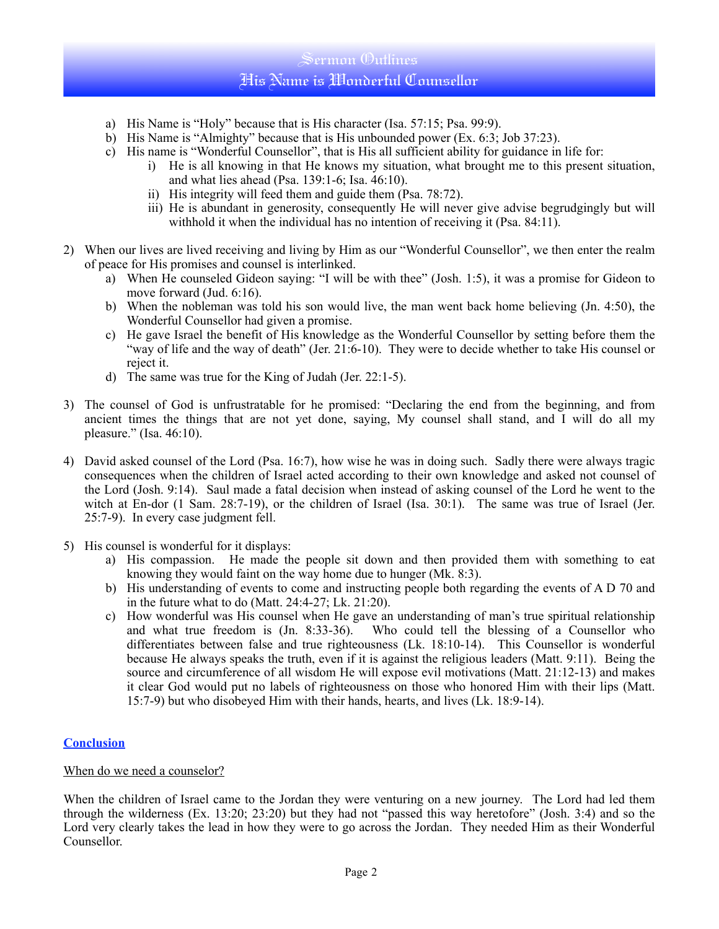# Sermon (Dutlines His Name is Wonderful Counsellor

- a) His Name is "Holy" because that is His character (Isa. 57:15; Psa. 99:9).
- b) His Name is "Almighty" because that is His unbounded power (Ex. 6:3; Job 37:23).
- c) His name is "Wonderful Counsellor", that is His all sufficient ability for guidance in life for:
	- i) He is all knowing in that He knows my situation, what brought me to this present situation, and what lies ahead (Psa. 139:1-6; Isa. 46:10).
	- ii) His integrity will feed them and guide them (Psa. 78:72).
	- iii) He is abundant in generosity, consequently He will never give advise begrudgingly but will withhold it when the individual has no intention of receiving it (Psa. 84:11).
- 2) When our lives are lived receiving and living by Him as our "Wonderful Counsellor", we then enter the realm of peace for His promises and counsel is interlinked.
	- a) When He counseled Gideon saying: "I will be with thee" (Josh. 1:5), it was a promise for Gideon to move forward (Jud. 6:16).
	- b) When the nobleman was told his son would live, the man went back home believing (Jn. 4:50), the Wonderful Counsellor had given a promise.
	- c) He gave Israel the benefit of His knowledge as the Wonderful Counsellor by setting before them the "way of life and the way of death" (Jer. 21:6-10). They were to decide whether to take His counsel or reject it.
	- d) The same was true for the King of Judah (Jer. 22:1-5).
- 3) The counsel of God is unfrustratable for he promised: "Declaring the end from the beginning, and from ancient times the things that are not yet done, saying, My counsel shall stand, and I will do all my pleasure." (Isa. 46:10).
- 4) David asked counsel of the Lord (Psa. 16:7), how wise he was in doing such. Sadly there were always tragic consequences when the children of Israel acted according to their own knowledge and asked not counsel of the Lord (Josh. 9:14). Saul made a fatal decision when instead of asking counsel of the Lord he went to the witch at En-dor (1 Sam. 28:7-19), or the children of Israel (Isa. 30:1). The same was true of Israel (Jer. 25:7-9). In every case judgment fell.
- 5) His counsel is wonderful for it displays:
	- a) His compassion. He made the people sit down and then provided them with something to eat knowing they would faint on the way home due to hunger (Mk. 8:3).
	- b) His understanding of events to come and instructing people both regarding the events of A D 70 and in the future what to do (Matt. 24:4-27; Lk. 21:20).
	- c) How wonderful was His counsel when He gave an understanding of man's true spiritual relationship and what true freedom is (Jn. 8:33-36). Who could tell the blessing of a Counsellor who differentiates between false and true righteousness (Lk. 18:10-14). This Counsellor is wonderful because He always speaks the truth, even if it is against the religious leaders (Matt. 9:11). Being the source and circumference of all wisdom He will expose evil motivations (Matt. 21:12-13) and makes it clear God would put no labels of righteousness on those who honored Him with their lips (Matt. 15:7-9) but who disobeyed Him with their hands, hearts, and lives (Lk. 18:9-14).

## **Conclusion**

### When do we need a counselor?

When the children of Israel came to the Jordan they were venturing on a new journey. The Lord had led them through the wilderness (Ex. 13:20; 23:20) but they had not "passed this way heretofore" (Josh. 3:4) and so the Lord very clearly takes the lead in how they were to go across the Jordan. They needed Him as their Wonderful Counsellor.